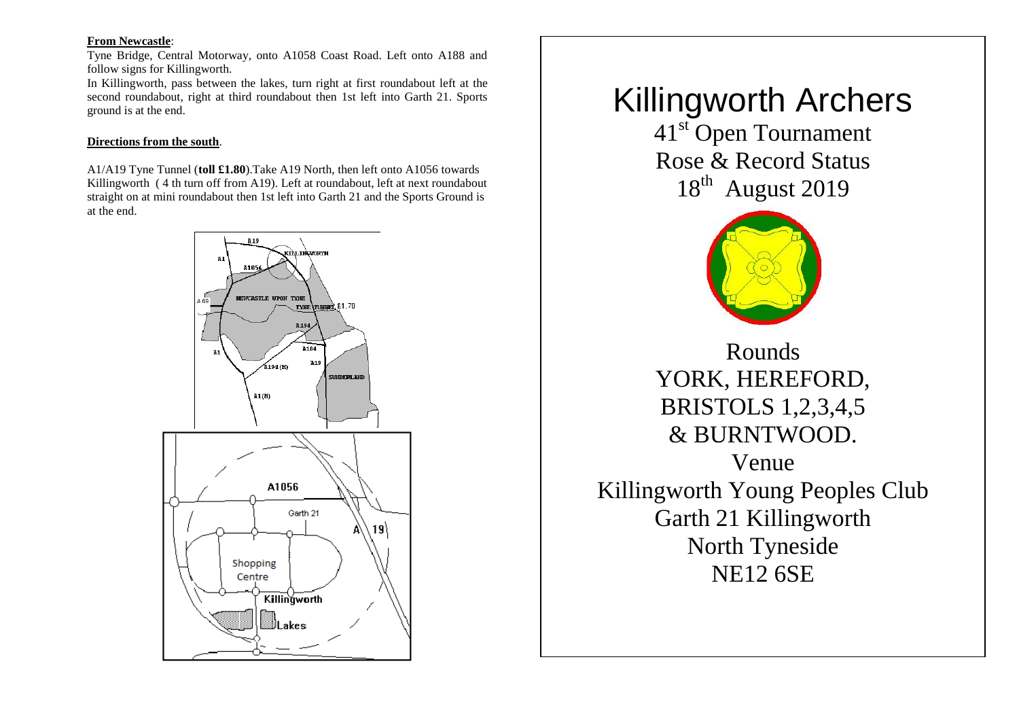# **From Newcastle**:

Tyne Bridge, Central Motorway, onto A1058 Coast Road. Left onto A188 and follow signs for Killingworth.

In Killingworth, pass between the lakes, turn right at first roundabout left at the second roundabout, right at third roundabout then 1st left into Garth 21. Sports ground is at the end.

#### **Directions from the south**.

A1/A19 Tyne Tunnel (**toll £1.80**).Take A19 North, then left onto A1056 towards Killingworth ( 4 th turn off from A19). Left at roundabout, left at next roundabout straight on at mini roundabout then 1st left into Garth 21 and the Sports Ground is at the end.



# Killingworth Archers

41<sup>st</sup> Open Tournament Rose & Record Status 18<sup>th</sup> August 2019



Rounds YORK, HEREFORD, BRISTOLS 1,2,3,4,5 & BURNTWOOD. Venue Killingworth Young Peoples Club Garth 21 Killingworth North Tyneside NE12 6SE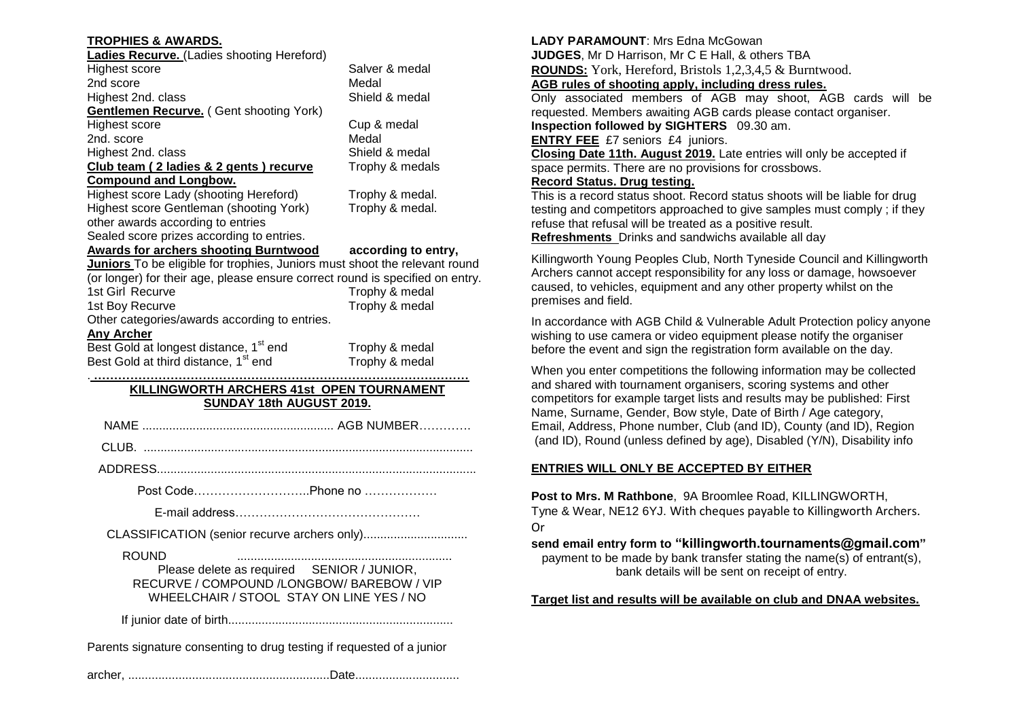| <b>TROPHIES &amp; AWARDS.</b>                                                 |                                    |  |
|-------------------------------------------------------------------------------|------------------------------------|--|
| <b>Ladies Recurve.</b> (Ladies shooting Hereford)                             |                                    |  |
| Highest score                                                                 | Salver & medal                     |  |
| 2nd score                                                                     | Medal                              |  |
| Highest 2nd. class                                                            | Shield & medal                     |  |
| <b>Gentlemen Recurve.</b> (Gent shooting York)                                |                                    |  |
| Highest score                                                                 | Cup & medal                        |  |
| 2nd. score                                                                    | Medal                              |  |
| Highest 2nd. class                                                            | Shield & medal                     |  |
| Club team (2 ladies & 2 gents) recurve                                        | Trophy & medals                    |  |
| <b>Compound and Longbow.</b><br>Highest score Lady (shooting Hereford)        |                                    |  |
| Highest score Gentleman (shooting York)                                       | Trophy & medal.<br>Trophy & medal. |  |
| other awards according to entries                                             |                                    |  |
| Sealed score prizes according to entries.                                     |                                    |  |
| <b>Awards for archers shooting Burntwood</b>                                  | according to entry,                |  |
| Juniors To be eligible for trophies, Juniors must shoot the relevant round    |                                    |  |
| (or longer) for their age, please ensure correct round is specified on entry. |                                    |  |
| 1st Girl Recurve                                                              | Trophy & medal                     |  |
| 1st Boy Recurve                                                               | Trophy & medal                     |  |
| Other categories/awards according to entries.                                 |                                    |  |
| <b>Any Archer</b>                                                             |                                    |  |
| Best Gold at longest distance, 1 <sup>st</sup> end                            | Trophy & medal                     |  |
| Best Gold at third distance, 1 <sup>st</sup> end                              | Trophy & medal                     |  |
|                                                                               |                                    |  |
| KILLINGWORTH ARCHERS 41st OPEN TOURNAMENT                                     |                                    |  |
| SUNDAY 18th AUGUST 2019.                                                      |                                    |  |
|                                                                               |                                    |  |
|                                                                               |                                    |  |
|                                                                               |                                    |  |
| Post CodePhone no                                                             |                                    |  |
|                                                                               |                                    |  |
|                                                                               |                                    |  |

ROUND ................................................................

Please delete as required SENIOR / JUNIOR, RECURVE / COMPOUND /LONGBOW/ BAREBOW / VIP WHEELCHAIR / STOOL STAY ON LINE YES / NO

If junior date of birth...................................................................

Parents signature consenting to drug testing if requested of a junior

archer, ............................................................Date...............................

# LADY PARAMOUNT: Mrs Edna McGowan

**JUDGES**, Mr D Harrison, Mr C E Hall, & others TBA

**ROUNDS:** York, Hereford, Bristols 1,2,3,4,5 & Burntwood.

# **AGB rules of shooting apply, including dress rules.**

Only associated members of AGB may shoot, AGB cards will be requested. Members awaiting AGB cards please contact organiser.

**Inspection followed by SIGHTERS** 09.30 am.

**ENTRY FEE** £7 seniors £4 juniors.

**Closing Date 11th. August 2019.** Late entries will only be accepted if space permits. There are no provisions for crossbows.

# **Record Status. Drug testing.**

This is a record status shoot. Record status shoots will be liable for drug testing and competitors approached to give samples must comply ; if they refuse that refusal will be treated as a positive result. **Refreshments** Drinks and sandwichs available all day

Killingworth Young Peoples Club, North Tyneside Council and Killingworth Archers cannot accept responsibility for any loss or damage, howsoever caused, to vehicles, equipment and any other property whilst on the premises and field.

In accordance with AGB Child & Vulnerable Adult Protection policy anyone wishing to use camera or video equipment please notify the organiser before the event and sign the registration form available on the day.

When you enter competitions the following information may be collected and shared with tournament organisers, scoring systems and other competitors for example target lists and results may be published: First Name, Surname, Gender, Bow style, Date of Birth / Age category, Email, Address, Phone number, Club (and ID), County (and ID), Region (and ID), Round (unless defined by age), Disabled (Y/N), Disability info

# **ENTRIES WILL ONLY BE ACCEPTED BY EITHER**

**Post to Mrs. M Rathbone**, 9A Broomlee Road, KILLINGWORTH, Tyne & Wear, NE12 6YJ. With cheques payable to Killingworth Archers. Or

**send email entry form to "killingworth.tournaments@gmail.com"**

payment to be made by bank transfer stating the name(s) of entrant(s), bank details will be sent on receipt of entry.

**Target list and results will be available on club and DNAA websites.**